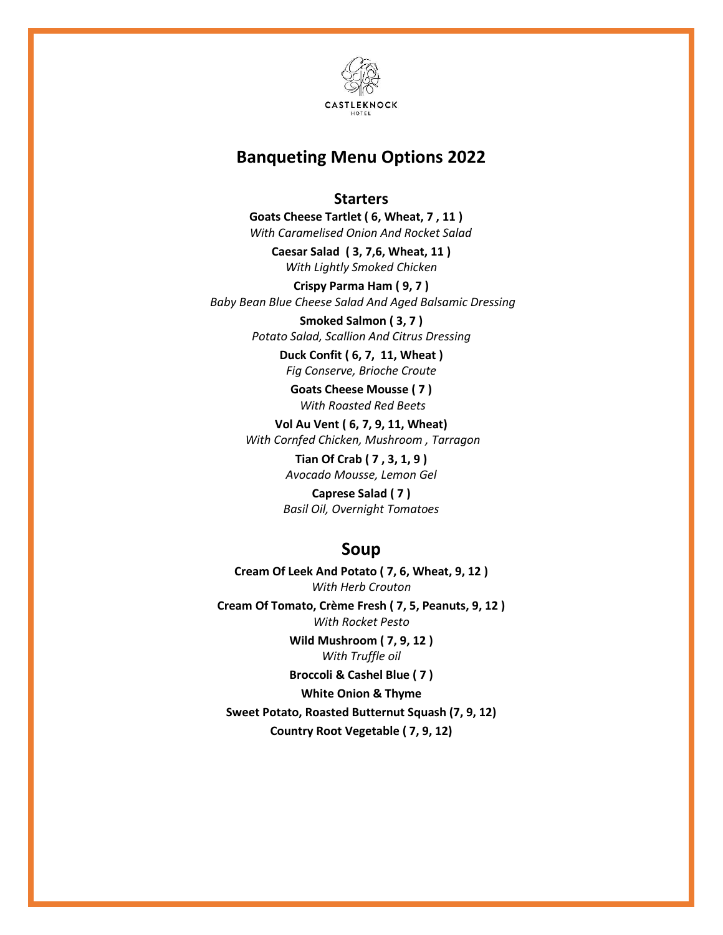

# **Banqueting Menu Options 2022**

#### **Starters**

 **Goats Cheese Tartlet ( 6, Wheat, 7 , 11 )**  *With Caramelised Onion And Rocket Salad*

> **Caesar Salad ( 3, 7,6, Wheat, 11 )** *With Lightly Smoked Chicken*

**Crispy Parma Ham ( 9, 7 )** *Baby Bean Blue Cheese Salad And Aged Balsamic Dressing*

> **Smoked Salmon ( 3, 7 )** *Potato Salad, Scallion And Citrus Dressing*

> > **Duck Confit ( 6, 7, 11, Wheat )** *Fig Conserve, Brioche Croute*

**Goats Cheese Mousse ( 7 )** *With Roasted Red Beets*

**Vol Au Vent ( 6, 7, 9, 11, Wheat)** *With Cornfed Chicken, Mushroom , Tarragon*

> **Tian Of Crab ( 7 , 3, 1, 9 )** *Avocado Mousse, Lemon Gel*

**Caprese Salad ( 7 )** *Basil Oil, Overnight Tomatoes*

## **Soup**

**Cream Of Leek And Potato ( 7, 6, Wheat, 9, 12 )** *With Herb Crouton*

**Cream Of Tomato, Crème Fresh ( 7, 5, Peanuts, 9, 12 )** *With Rocket Pesto*

> **Wild Mushroom ( 7, 9, 12 )** *With Truffle oil*

> **Broccoli & Cashel Blue ( 7 )**

**White Onion & Thyme**

**Sweet Potato, Roasted Butternut Squash (7, 9, 12) Country Root Vegetable ( 7, 9, 12)**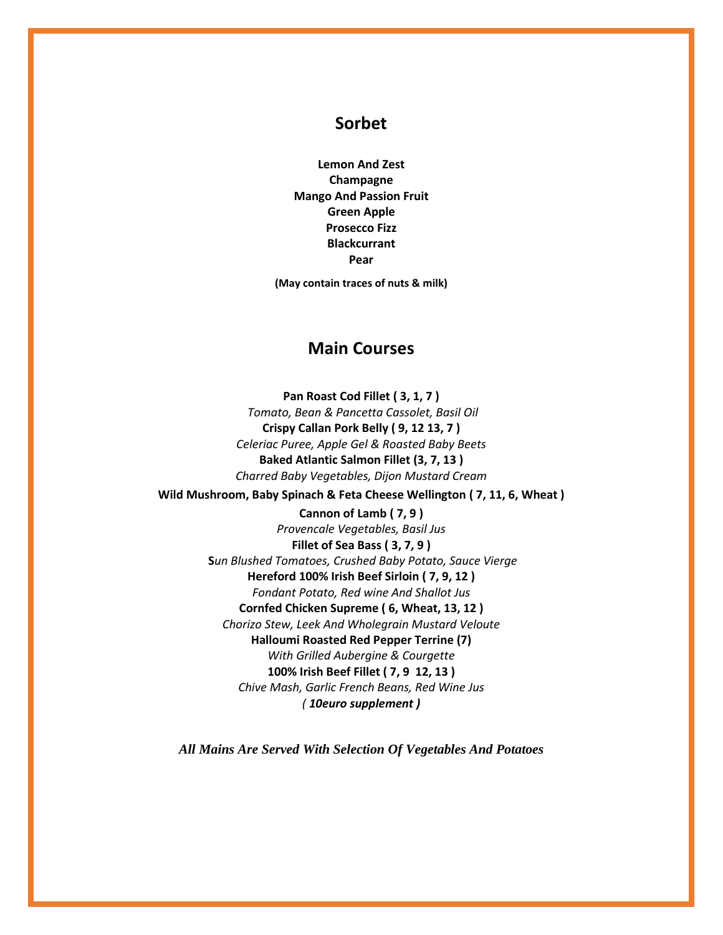### **Sorbet**

**Lemon And Zest Champagne Mango And Passion Fruit Green Apple Prosecco Fizz Blackcurrant Pear**

**(May contain traces of nuts & milk)**

### **Main Courses**

**Pan Roast Cod Fillet ( 3, 1, 7 )** *Tomato, Bean & Pancetta Cassolet, Basil Oil* **Crispy Callan Pork Belly ( 9, 12 13, 7 )** *Celeriac Puree, Apple Gel & Roasted Baby Beets* **Baked Atlantic Salmon Fillet (3, 7, 13 )** *Charred Baby Vegetables, Dijon Mustard Cream*

**Wild Mushroom, Baby Spinach & Feta Cheese Wellington ( 7, 11, 6, Wheat )**

**Cannon of Lamb ( 7, 9 )** *Provencale Vegetables, Basil Jus* **Fillet of Sea Bass ( 3, 7, 9 ) S***un Blushed Tomatoes, Crushed Baby Potato, Sauce Vierge* **Hereford 100% Irish Beef Sirloin ( 7, 9, 12 )** *Fondant Potato, Red wine And Shallot Jus* **Cornfed Chicken Supreme ( 6, Wheat, 13, 12 )** *Chorizo Stew, Leek And Wholegrain Mustard Veloute* **Halloumi Roasted Red Pepper Terrine (7)** *With Grilled Aubergine & Courgette* **100% Irish Beef Fillet ( 7, 9 12, 13 )** *Chive Mash, Garlic French Beans, Red Wine Jus ( 10euro supplement )*

*All Mains Are Served With Selection Of Vegetables And Potatoes*